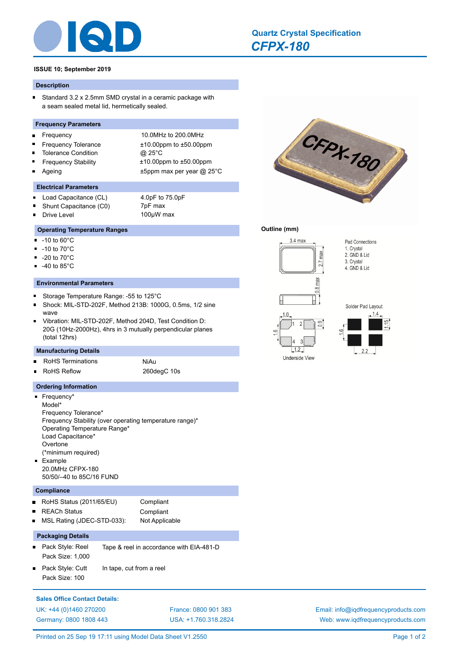

# **ISSUE 10; September 2019**

## **Description**

Standard 3.2 x 2.5mm SMD crystal in a ceramic package with  $\blacksquare$ a seam sealed metal lid, hermetically sealed.

## **Frequency Parameters**

- Frequency 10.0MHz to 200.0MHz É
- Frequency Tolerance ±10.00ppm to ±50.00ppm
- Tolerance Condition @ 25°C
- $\blacksquare$
- $\blacksquare$

 $\blacksquare$ 

 $\blacksquare$ 

 $\blacksquare$ 

 $\blacksquare$ 

 $\blacksquare$ 

 $\blacksquare$ 

 $\blacksquare$ 

Frequency Stability ±10.00ppm to ±50.00ppm

Ageing the top of the top of the top of the top of the top of the top of the top of the top of the top of the t

# **Electrical Parameters**

Load Capacitance (CL) 4.0pF to 75.0pF  $\blacksquare$ 

Drive Level

-10 to 60°C -10 to 70°C -20 to 70°C -40 to 85°C

wave

Shunt Capacitance (C0) 7pF max<br>Drive Level 100uW max

**Operating Temperature Ranges**

**Environmental Parameters**

Storage Temperature Range: -55 to 125°C

Shock: MIL-STD-202F, Method 213B: 1000G, 0.5ms, 1/2 sine

Vibration: MIL-STD-202F, Method 204D, Test Condition D: 20G (10Hz-2000Hz), 4hrs in 3 mutually perpendicular planes

# CFPX-180

# **Outline (mm)**

*[CFPX-180](http://www.iqdfrequencyproducts.com/products/search/?type=quartz-crystal&model=CFPX-180)*

**[Quartz Crystal Specification](http://www.iqdfrequencyproducts.com/products/search/?type=tcxo-tcvcxo&model=All&product-features=All&package=All&frequency=All&frequency-uom=MHz&frequency-stability=All&temperature-range=All&output=All&voltage=All)**



Underside View



Pad Connections 1. Crystal

2. GND & Lid

4. GND & Lid

3. Crystal

**Manufacturing Details** RoHS Terminations NiAu  $\blacksquare$ 

- 
- É

(total 12hrs)

# RoHS Reflow 260degC 10s

# **Ordering Information**

| $\blacksquare$ Frequency*                               |
|---------------------------------------------------------|
| Model*                                                  |
| Frequency Tolerance*                                    |
| Frequency Stability (over operating temperature range)* |
| Operating Temperature Range*                            |
| Load Capacitance*                                       |
| Overtone                                                |
| (*minimum required)                                     |
| $\blacksquare$ Example                                  |
| 20 0MHz CFPX-180                                        |
| 50/50/-40 to 85C/16 FUND                                |

# **Compliance**

|                | RoHS Status (2011/65/EU)   | Compliant      |
|----------------|----------------------------|----------------|
|                | ■ REACh Status             | Compliant      |
| $\blacksquare$ | MSL Rating (JDEC-STD-033): | Not Applicable |

# **Packaging Details**

- Pack Style: Reel Tape & reel in accordance with EIA-481-D Pack Size: 1,000
- Pack Style: Cutt In tape, cut from a reel Pack Size: 100

# **Sales Office Contact Details:** [UK: +44 \(0\)1460 270200](http://www.iqdfrequencyproducts.co.uk) [France: 0800 901 383](http://www.iqdfrequencyproducts.fr) [Germany: 0800 1808 443](http://www.iqdfrequencyproducts.de)

[USA: +1.760.318.2824](http://www.iqdfrequencyproducts.com)

[Email: info@iqdfrequencyproducts.com](mailto:info@iqdfrequencyproducts.com) [Web: www.iqdfrequencyproducts.com](http://www.iqdfrequencyproducts.com)